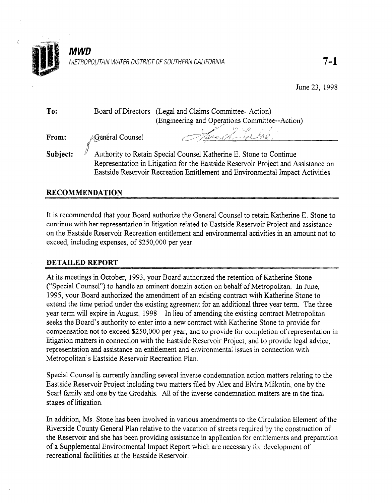

| To:      | Board of Directors (Legal and Claims Committee--Action)<br>(Engineering and Operations Committee--Action)                                               |  |  |
|----------|---------------------------------------------------------------------------------------------------------------------------------------------------------|--|--|
| From:    | Jana Lehrk.<br>General Counsel                                                                                                                          |  |  |
| Subject: | Authority to Retain Special Counsel Katherine E. Stone to Continue<br>Representation in Litigation for the Eastside Reservoir Project and Assistance on |  |  |
|          | Eastside Reservoir Recreation Entitlement and Environmental Impact Activities.                                                                          |  |  |

## RECOMMENDATION

It is recommended that your Board authorize the General Counsel to retain Katherine E. Stone to continue with her representation in litigation related to Eastside Reservoir Project and assistance on the Eastside Reservoir Recreation entitlement and environmental activities in an amount not to exceed, including expenses, of \$250,000 per year.

## DETAILED REPORT

At its meetings in October, 1993, your Board authorized the retention of Katherine Stone ("Special Counsel") to handle an eminent domain action on behalf of Metropolitan. In June, 1995, your Board authorized the amendment of an existing contract with Katherine Stone to extend the time period under the existing agreement for an additional three year term. The three year term will expire in August, 1998. In lieu of amending the existing contract Metropolitan seeks the Board's authority to enter into a new contract with Katherine Stone to provide for compensation not to exceed \$250,000 per year, and to provide for completion of representation in litigation matters in connection with the Eastside Reservoir Project, and to provide legal advice, representation and assistance on entitlement and environmental issues in connection with Metropolitan's Eastside Reservoir Recreation Plan.

Special Counsel is currently handling several inverse condemnation action matters relating to the Eastside Reservoir Project including two matters filed by Alex and Elvira Mlikotin, one by the Sear1 family and one by the Grodahls. All of the inverse condemnation matters are in the final stages of litigation.

In addition, Ms. Stone has been involved in various amendments to the Circulation Element of the Riverside County General Plan relative to the vacation of streets required by the construction of the Reservoir and she has been providing assistance in application for entitlements and preparation of a Supplemental Environmental Impact Report which are necessary for development of recreational facilitities at the Eastside Reservoir.